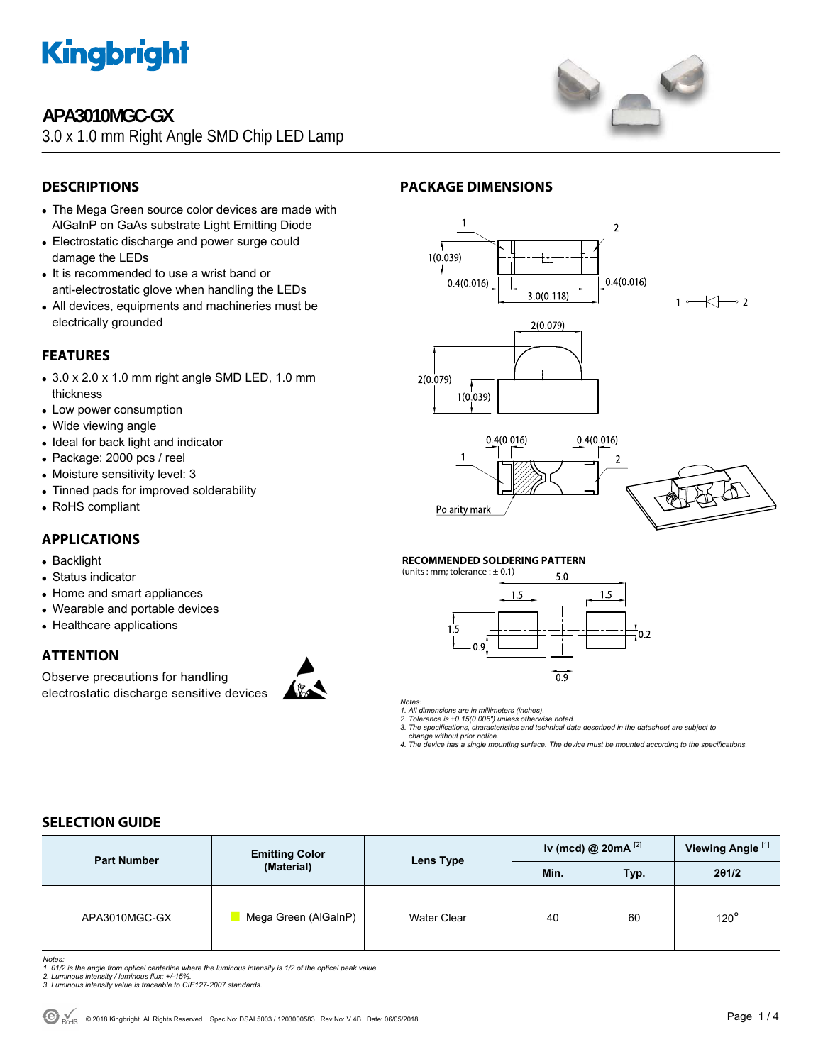

# **APA3010MGC-GX**

3.0 x 1.0 mm Right Angle SMD Chip LED Lamp



## **DESCRIPTIONS**

- The Mega Green source color devices are made with AlGaInP on GaAs substrate Light Emitting Diode
- Electrostatic discharge and power surge could damage the LEDs
- It is recommended to use a wrist band or anti-electrostatic glove when handling the LEDs
- All devices, equipments and machineries must be electrically grounded

### **FEATURES**

- $\bullet$  3.0 x 2.0 x 1.0 mm right angle SMD LED, 1.0 mm thickness
- Low power consumption
- Wide viewing angle
- Ideal for back light and indicator
- Package: 2000 pcs / reel
- Moisture sensitivity level: 3
- Tinned pads for improved solderability
- RoHS compliant

### **APPLICATIONS**

- Backlight
- Status indicator
- Home and smart appliances
- Wearable and portable devices
- Healthcare applications

#### **ATTENTION**

Observe precautions for handling electrostatic discharge sensitive devices



#### **PACKAGE DIMENSIONS**



#### **RECOMMENDED SOLDERING PATTERN**



*Notes:* 

- *1. All dimensions are in millimeters (inches). 2. Tolerance is ±0.15(0.006") unless otherwise noted.*
- *3. The specifications, characteristics and technical data described in the datasheet are subject to*
- *change without prior notice. 4. The device has a single mounting surface. The device must be mounted according to the specifications.*
- 

#### **SELECTION GUIDE**

| <b>Part Number</b> | <b>Emitting Color</b> | Iv (mcd) @ $20mA$ <sup>[2]</sup><br><b>Lens Type</b><br>Min.<br>Typ. |       |    | Viewing Angle <sup>[1]</sup> |
|--------------------|-----------------------|----------------------------------------------------------------------|-------|----|------------------------------|
|                    | (Material)            |                                                                      | 201/2 |    |                              |
| APA3010MGC-GX      | Mega Green (AlGaInP)  | Water Clear                                                          | 40    | 60 | $120^\circ$                  |

*Notes:* 

- *1. θ1/2 is the angle from optical centerline where the luminous intensity is 1/2 of the optical peak value. 2. Luminous intensity / luminous flux: +/-15%.*
- *3. Luminous intensity value is traceable to CIE127-2007 standards.*
-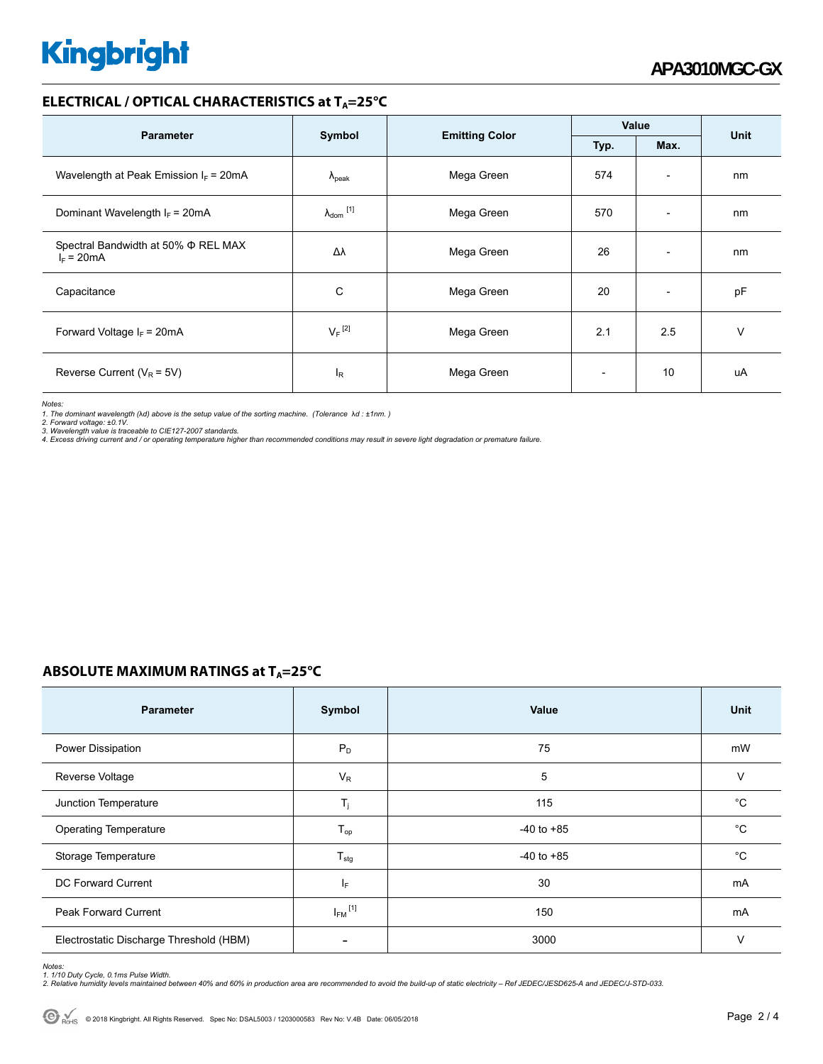# **Kingbright**

#### **ELECTRICAL / OPTICAL CHARACTERISTICS at T<sub>A</sub>=25°C**

|                                                     |                            |                       | Value        |                          | <b>Unit</b> |
|-----------------------------------------------------|----------------------------|-----------------------|--------------|--------------------------|-------------|
| <b>Parameter</b>                                    | Symbol                     | <b>Emitting Color</b> | Max.<br>Typ. |                          |             |
| Wavelength at Peak Emission $I_F$ = 20mA            | $\lambda_{\rm peak}$       | Mega Green            | 574          | $\overline{\phantom{a}}$ | nm          |
| Dominant Wavelength $I_F = 20 \text{mA}$            | $\lambda_{\text{dom}}$ [1] | Mega Green            | 570          | $\overline{\phantom{0}}$ | nm          |
| Spectral Bandwidth at 50% Φ REL MAX<br>$I_F = 20mA$ | Δλ                         | Mega Green            | 26           | $\overline{\phantom{a}}$ | nm          |
| Capacitance                                         | C                          | Mega Green            | 20           | $\overline{\phantom{a}}$ | pF          |
| Forward Voltage $I_F$ = 20mA                        | $V_F$ <sup>[2]</sup>       | Mega Green            | 2.1          | 2.5                      | v           |
| Reverse Current ( $V_R$ = 5V)                       | l <sub>R</sub>             | Mega Green            |              | 10                       | uA          |

*Notes:* 

1. The dominant wavelength (λd) above is the setup value of the sorting machine. (Tolerance λd : ±1nm. )<br>2. Forward voltage: ±0.1V.<br>3. Wavelength value is traceable to CIE127-2007 standards.<br>4. Excess driving current and /

#### **ABSOLUTE MAXIMUM RATINGS at T<sub>A</sub>=25°C**

| <b>Parameter</b>                        | Symbol                  | Value          | <b>Unit</b>  |
|-----------------------------------------|-------------------------|----------------|--------------|
| Power Dissipation                       | $P_D$                   | 75             | mW           |
| Reverse Voltage                         | $V_R$                   | 5              | $\vee$       |
| Junction Temperature                    | $T_j$                   | 115            | °C           |
| <b>Operating Temperature</b>            | $T_{op}$                | $-40$ to $+85$ | °C           |
| Storage Temperature                     | $T_{\text{stg}}$        | $-40$ to $+85$ | $^{\circ}$ C |
| <b>DC Forward Current</b>               | IF.                     | 30             | mA           |
| <b>Peak Forward Current</b>             | $I_{FM}$ <sup>[1]</sup> | 150            | mA           |
| Electrostatic Discharge Threshold (HBM) |                         | 3000           | v            |

Notes:<br>1. 1/10 Duty Cycle, 0.1ms Pulse Width.<br>2. Relative humidity levels maintained between 40% and 60% in production area are recommended to avoid the build-up of static electricity – Ref JEDEC/JESD625-A and JEDEC/J-STD-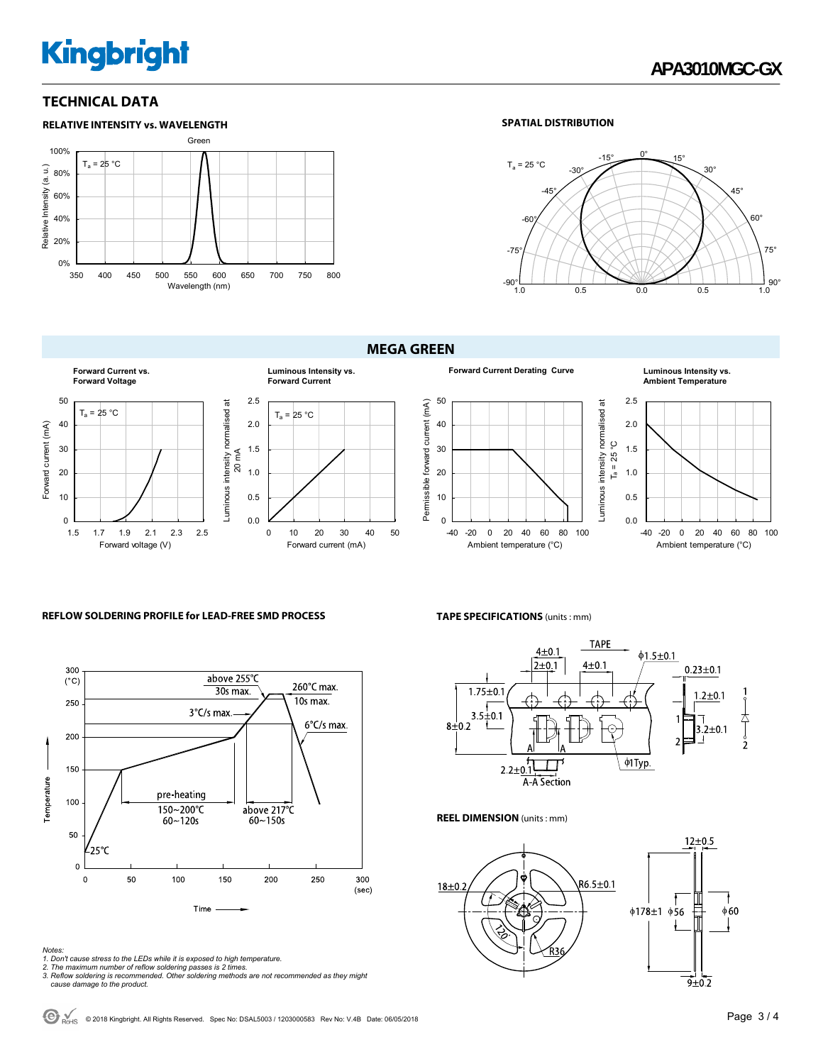# **Kingbright**

#### **TECHNICAL DATA**





## **MEGA GREEN**









#### **REFLOW SOLDERING PROFILE for LEAD-FREE SMD PROCESS**



*Notes:* 

- 
- 
- 1. Don't cause stress to the LEDs while it is exposed to high temperature.<br>2. The maximum number of reflow soldering passes is 2 times.<br>3. Reflow soldering is recommended. Other soldering methods are not recommended as the

#### **TAPE SPECIFICATIONS** (units : mm)



#### **REEL DIMENSION** (units : mm)



 $\bigodot$ <sub>RoHS</sub> © 2018 Kingbright. All Rights Reserved. Spec No: DSAL5003 / 1203000583 Rev No: V.4B Date: 06/05/2018